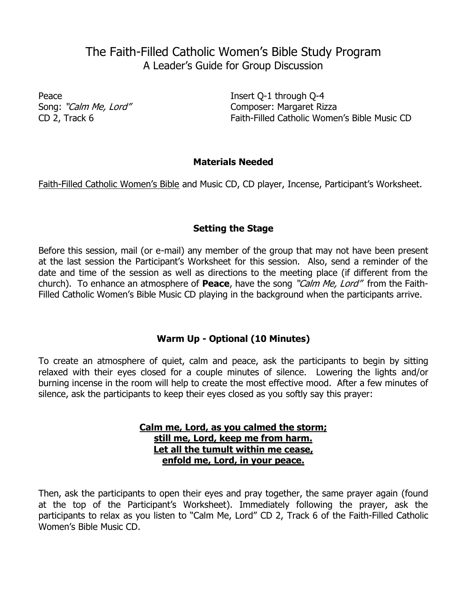# The Faith-Filled Catholic Women's Bible Study Program A Leader's Guide for Group Discussion

Peace Insert Q-1 through Q-4 Song: "Calm Me, Lord" Composer: Margaret Rizza CD 2, Track 6 Faith-Filled Catholic Women's Bible Music CD

## **Materials Needed**

Faith-Filled Catholic Women's Bible and Music CD, CD player, Incense, Participant's Worksheet.

# **Setting the Stage**

Before this session, mail (or e-mail) any member of the group that may not have been present at the last session the Participant's Worksheet for this session. Also, send a reminder of the date and time of the session as well as directions to the meeting place (if different from the church). To enhance an atmosphere of **Peace**, have the song "Calm Me, Lord" from the Faith-Filled Catholic Women's Bible Music CD playing in the background when the participants arrive.

# **Warm Up - Optional (10 Minutes)**

To create an atmosphere of quiet, calm and peace, ask the participants to begin by sitting relaxed with their eyes closed for a couple minutes of silence. Lowering the lights and/or burning incense in the room will help to create the most effective mood. After a few minutes of silence, ask the participants to keep their eyes closed as you softly say this prayer:

#### **Calm me, Lord, as you calmed the storm; still me, Lord, keep me from harm. Let all the tumult within me cease, enfold me, Lord, in your peace.**

Then, ask the participants to open their eyes and pray together, the same prayer again (found at the top of the Participant's Worksheet). Immediately following the prayer, ask the participants to relax as you listen to "Calm Me, Lord" CD 2, Track 6 of the Faith-Filled Catholic Women's Bible Music CD.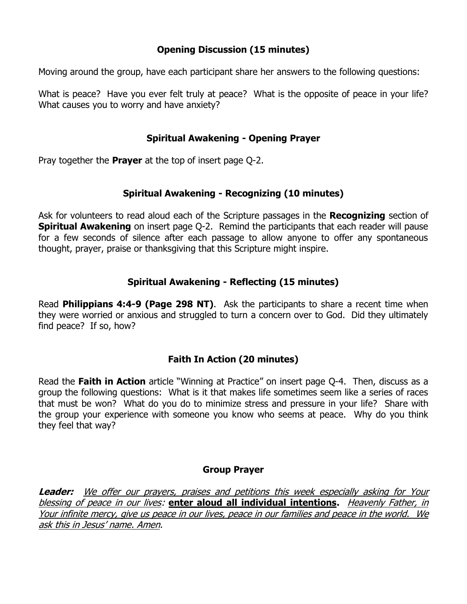# **Opening Discussion (15 minutes)**

Moving around the group, have each participant share her answers to the following questions:

What is peace? Have you ever felt truly at peace? What is the opposite of peace in your life? What causes you to worry and have anxiety?

# **Spiritual Awakening - Opening Prayer**

Pray together the **Prayer** at the top of insert page Q-2.

## **Spiritual Awakening - Recognizing (10 minutes)**

Ask for volunteers to read aloud each of the Scripture passages in the **Recognizing** section of **Spiritual Awakening** on insert page Q-2. Remind the participants that each reader will pause for a few seconds of silence after each passage to allow anyone to offer any spontaneous thought, prayer, praise or thanksgiving that this Scripture might inspire.

# **Spiritual Awakening - Reflecting (15 minutes)**

Read **Philippians 4:4-9 (Page 298 NT)**. Ask the participants to share a recent time when they were worried or anxious and struggled to turn a concern over to God. Did they ultimately find peace? If so, how?

# **Faith In Action (20 minutes)**

Read the **Faith in Action** article "Winning at Practice" on insert page Q-4. Then, discuss as a group the following questions: What is it that makes life sometimes seem like a series of races that must be won? What do you do to minimize stress and pressure in your life? Share with the group your experience with someone you know who seems at peace. Why do you think they feel that way?

#### **Group Prayer**

**Leader:** We offer our prayers, praises and petitions this week especially asking for Your blessing of peace in our lives: **enter aloud all individual intentions.** Heavenly Father, in Your infinite mercy, give us peace in our lives, peace in our families and peace in the world. We ask this in Jesus' name. Amen.